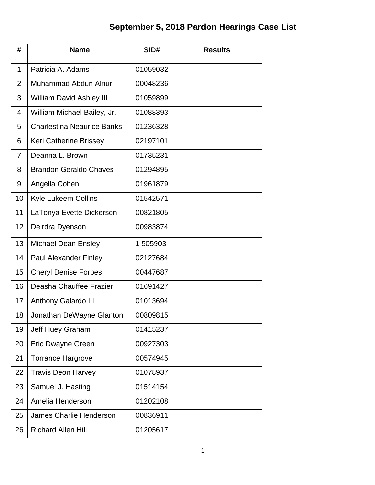## **September 5, 2018 Pardon Hearings Case List**

| #              | <b>Name</b>                       | SID#     | <b>Results</b> |
|----------------|-----------------------------------|----------|----------------|
| 1              | Patricia A. Adams                 | 01059032 |                |
| $\overline{2}$ | Muhammad Abdun Alnur              | 00048236 |                |
| 3              | William David Ashley III          | 01059899 |                |
| 4              | William Michael Bailey, Jr.       | 01088393 |                |
| 5              | <b>Charlestina Neaurice Banks</b> | 01236328 |                |
| 6              | Keri Catherine Brissey            | 02197101 |                |
| 7              | Deanna L. Brown                   | 01735231 |                |
| 8              | <b>Brandon Geraldo Chaves</b>     | 01294895 |                |
| 9              | Angella Cohen                     | 01961879 |                |
| 10             | Kyle Lukeem Collins               | 01542571 |                |
| 11             | LaTonya Evette Dickerson          | 00821805 |                |
| 12             | Deirdra Dyenson                   | 00983874 |                |
| 13             | <b>Michael Dean Ensley</b>        | 1 505903 |                |
| 14             | <b>Paul Alexander Finley</b>      | 02127684 |                |
| 15             | <b>Cheryl Denise Forbes</b>       | 00447687 |                |
| 16             | Deasha Chauffee Frazier           | 01691427 |                |
| 17             | Anthony Galardo III               | 01013694 |                |
| 18             | Jonathan DeWayne Glanton          | 00809815 |                |
| 19             | Jeff Huey Graham                  | 01415237 |                |
| 20             | Eric Dwayne Green                 | 00927303 |                |
| 21             | <b>Torrance Hargrove</b>          | 00574945 |                |
| 22             | <b>Travis Deon Harvey</b>         | 01078937 |                |
| 23             | Samuel J. Hasting                 | 01514154 |                |
| 24             | Amelia Henderson                  | 01202108 |                |
| 25             | <b>James Charlie Henderson</b>    | 00836911 |                |
| 26             | <b>Richard Allen Hill</b>         | 01205617 |                |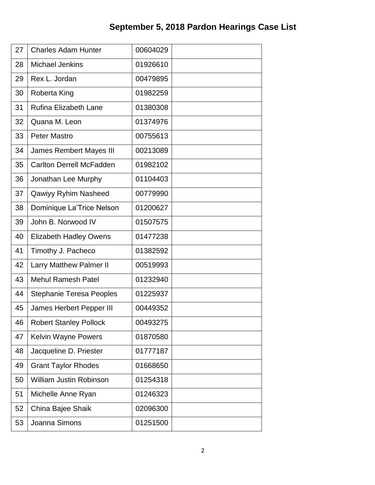| 27 | <b>Charles Adam Hunter</b>      | 00604029 |  |
|----|---------------------------------|----------|--|
| 28 | <b>Michael Jenkins</b>          | 01926610 |  |
| 29 | Rex L. Jordan                   | 00479895 |  |
| 30 | Roberta King                    | 01982259 |  |
| 31 | <b>Rufina Elizabeth Lane</b>    | 01380308 |  |
| 32 | Quana M. Leon                   | 01374976 |  |
| 33 | <b>Peter Mastro</b>             | 00755613 |  |
| 34 | <b>James Rembert Mayes III</b>  | 00213089 |  |
| 35 | <b>Carlton Derrell McFadden</b> | 01982102 |  |
| 36 | Jonathan Lee Murphy             | 01104403 |  |
| 37 | Qawiyy Ryhim Nasheed            | 00779990 |  |
| 38 | Dominique La'Trice Nelson       | 01200627 |  |
| 39 | John B. Norwood IV              | 01507575 |  |
| 40 | <b>Elizabeth Hadley Owens</b>   | 01477238 |  |
| 41 | Timothy J. Pacheco              | 01382592 |  |
| 42 | <b>Larry Matthew Palmer II</b>  | 00519993 |  |
| 43 | <b>Mehul Ramesh Patel</b>       | 01232940 |  |
| 44 | <b>Stephanie Teresa Peoples</b> | 01225937 |  |
| 45 | <b>James Herbert Pepper III</b> | 00449352 |  |
| 46 | <b>Robert Stanley Pollock</b>   | 00493275 |  |
| 47 | <b>Kelvin Wayne Powers</b>      | 01870580 |  |
| 48 | Jacqueline D. Priester          | 01777187 |  |
| 49 | <b>Grant Taylor Rhodes</b>      | 01668650 |  |
| 50 | <b>William Justin Robinson</b>  | 01254318 |  |
| 51 | Michelle Anne Ryan              | 01246323 |  |
| 52 | China Bajee Shaik               | 02096300 |  |
| 53 | Joanna Simons                   | 01251500 |  |